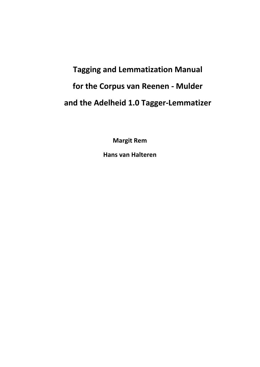# **Tagging and Lemmatization Manual for the Corpus van Reenen - Mulder and the Adelheid 1.0 Tagger-Lemmatizer**

**Margit Rem Hans van Halteren**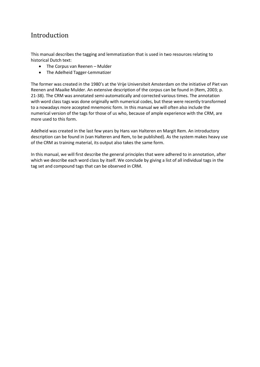# Introduction

This manual describes the tagging and lemmatization that is used in two resources relating to historical Dutch text:

- The Corpus van Reenen Mulder
- The Adelheid Tagger-Lemmatizer

The former was created in the 1980's at the Vrije Universiteit Amsterdam on the initiative of Piet van Reenen and Maaike Mulder. An extensive description of the corpus can be found in (Rem, 2003; p. 21-38). The CRM was annotated semi-automatically and corrected various times. The annotation with word class tags was done originally with numerical codes, but these were recently transformed to a nowadays more accepted mnemonic form. In this manual we will often also include the numerical version of the tags for those of us who, because of ample experience with the CRM, are more used to this form.

Adelheid was created in the last few years by Hans van Halteren en Margit Rem. An introductory description can be found in (van Halteren and Rem, to be published). As the system makes heavy use of the CRM as training material, its output also takes the same form.

In this manual, we will first describe the general principles that were adhered to in annotation, after which we describe each word class by itself. We conclude by giving a list of all individual tags in the tag set and compound tags that can be observed in CRM.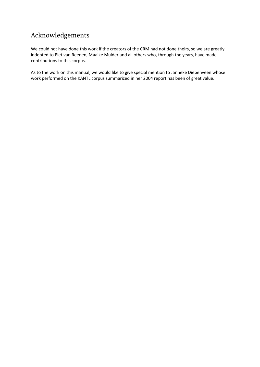# Acknowledgements

We could not have done this work if the creators of the CRM had not done theirs, so we are greatly indebted to Piet van Reenen, Maaike Mulder and all others who, through the years, have made contributions to this corpus.

As to the work on this manual, we would like to give special mention to Janneke Diepenveen whose work performed on the KANTL corpus summarized in her 2004 report has been of great value.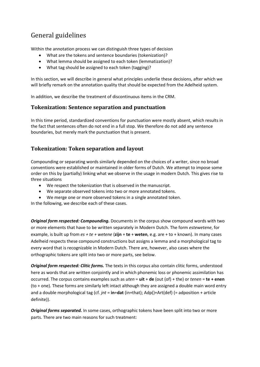# General guidelines

Within the annotation process we can distinguish three types of decision

- What are the tokens and sentence boundaries (tokenization)?
- What lemma should be assigned to each token (lemmatization)?
- What tag should be assigned to each token (tagging)?

In this section, we will describe in general what principles underlie these decisions, after which we will briefly remark on the annotation quality that should be expected from the Adelheid system.

In addition, we describe the treatment of discontinuous items in the CRM.

### **Tokenization: Sentence separation and punctuation**

In this time period, standardized conventions for punctuation were mostly absent, which results in the fact that sentences often do not end in a full stop. We therefore do not add any sentence boundaries, but merely mark the punctuation that is present.

### **Tokenization: Token separation and layout**

Compounding or separating words similarly depended on the choices of a writer, since no broad conventions were established or maintained in older forms of Dutch. We attempt to impose some order on this by (partially) linking what we observe in the usage in modern Dutch. This gives rise to three situations

- We respect the tokenization that is observed in the manuscript.
- We separate observed tokens into two or more annotated tokens.
- We merge one or more observed tokens in a single annotated token.

In the following, we describe each of these cases.

*Original form respected: Compounding.* Documents in the corpus show compound words with two or more elements that have to be written separately in Modern Dutch. The form *estewetene*, for example, is built up from *es + te + wetene* (**zijn** + **te** + **weten**, e.g. are + to + known). In many cases Adelheid respects these compound constructions but assigns a lemma and a morphological tag to every word that is recognizable in Modern Dutch. There are, however, also cases where the orthographic tokens are split into two or more parts, see below.

*Original form respected: Clitic forms.* The texts in this corpus also contain clitic forms, understood here as words that are written conjointly and in which phonemic loss or phonemic assimilation has occurred. The corpus contains examples such as *uten* = **uit** + **de** (out (of) + the) or *tenen* = **te + enen** (to + one). These forms are similarly left intact although they are assigned a double main word entry and a double morphological tag (cf*. jnt* = **in**+**dat** (in+that); Adp()+Art(def) (= adposition + article definite)).

*Original forms separated.* In some cases, orthographic tokens have been split into two or more parts. There are two main reasons for such treatment: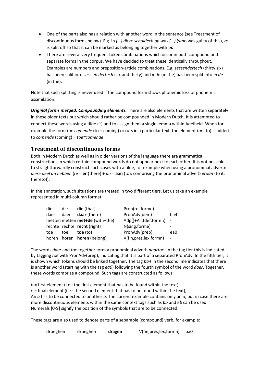- One of the parts also has a relation with another word in the sentence (see Treatment of discontinuous forms below). E.g. in *(…) diere schuldech op was (…)* (who was guilty of this), *re* is split off so that it can be marked as belonging together with *op*.
- There are several very frequent token combinations which occur in both compound and separate forms in the corpus. We have decided to treat these identically throughout. Examples are numbers and preposition-article combinations. E.g. *sessendertech* (thirty six) has been split into *sess en dertech* (six and thirty) and *inde* (in the) has been split into *in de* (in the).

Note that such splitting is never used if the compound form shows phonemic loss or phonemic assimilation.

*Original forms merged: Compounding elements.* There are also elements that are written separately in these older texts but which should rather be compounded in Modern Dutch. It is attempted to connect these words using a tilde (~) and to assign them a single lemma within Adelheid. When for example the form *toe comende* (to + coming) occurs in a particular text, the element *toe* (to) is added to *comende* (coming) = *toe~comende*.

### **Treatment of discontinuous forms**

Both in Modern Dutch as well as in older versions of the language there are grammatical constructions in which certain compound words do not appear next to each other. It is not possible to straightforwardly construct such cases with a tilde, for example when using a pronominal adverb: *diere deel an hebben* (*re* = **er** (there) + *an* = **aan** (to); comprising the pronominal adverb *eraan* (to it, thereto)).

In the annotation, such situations are treated in two different tiers. Let us take an example represented in multi-column format:

| die  | die  | <b>die</b> (that)                 | Pron(rel, forme)         |     |
|------|------|-----------------------------------|--------------------------|-----|
| daer | daer | daar (there)                      | PronAdv(dem)             | ba4 |
|      |      | metten metten met+de (with+the)   | Adp()+Art(def,formn)     |     |
|      |      | rechte rechte recht (right)       | N(sing, forme)           |     |
| toe  | toe  | toe (to)                          | PronAdv(prep)            | ea0 |
|      |      | horen horen <b>horen</b> (belong) | V(fin, pres, lex, formn) |     |

The words *daer* and *toe* together form a pronominal adverb *daartoe*. In the tag tier this is indicated by tagging *toe* with PronAdv(prep), indicating that it is part of a separated PronAdv. In the fifth tier, it is shown which tokens should be linked together. The tag *ba4* in the second line indicates that there is another word (starting with the tag *ea0*) following the fourth symbol of the word *daer*. Together, these words comprise a compound. Such tags are constructed as follows:

 $b =$  first element (i.e.: the first element that has to be found within the text): *e* = final element (i.e.: the second element that has to be found within the text); An *a* has to be connected to another *a*. The current example contains only an *a*, but in case there are more discontinuous elements within the same context tags such as *bb* and *eb* can be used. Numerals [0-9] signify the position of the symbols that are to be connected.

These tags are also used to denote parts of a separable (compound) verb, for example:

| droeghen | droeghen | dragen | V(fin, pres, lex, formn) | ba0 |
|----------|----------|--------|--------------------------|-----|
|----------|----------|--------|--------------------------|-----|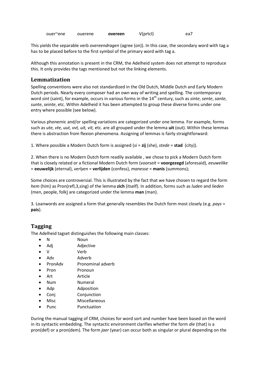ouer~ene ouerene **overeen** V(prtcl) ea7

This yields the separable verb *overeendragen* (agree (on)). In this case, the secondary word with tag a has to be placed before to the first symbol of the primary word with tag a.

Although this annotation is present in the CRM, the Adelheid system does not attempt to reproduce this. It only provides the tags mentioned but not the linking elements.

#### **Lemmatization**

Spelling conventions were also not standardized in the Old Dutch, Middle Dutch and Early Modern Dutch periods. Nearly every composer had an own way of writing and spelling. The contemporary word *sint* (saint), for example, occurs in various forms in the 14th century, such as *sinte*, *sente*, *sante*, *sunte*, *seinte*, etc. Within Adelheid it has been attempted to group these diverse forms under one entry where possible (see below).

Various phonemic and/or spelling variations are categorized under one lemma. For example, forms such as *ute, vte, uut, vvt, uit, vit,* etc. are all grouped under the lemma **uit** (out). Within these lemmas there is abstraction from flexion phenomena. Assigning of lemmas is fairly straightforward:

1. Where possible a Modern Dutch form is assigned (*si* = **zij** (she), *stede* = **stad** (city)).

2. When there is no Modern Dutch form readily available , we chose to pick a Modern Dutch form that is closely related or a fictional Modern Dutch form (*voorseit* = **voorgezegd** (aforesaid), *eeuwelike* = **eeuwelijk** (eternal), *verlyen* = **verlijden** (confess), *manesse* = **manis** (summons);

Some choices are controversial. This is illustrated by the fact that we have chosen to regard the form *hem* (him) as Pron(refl,3,sing) of the lemma **zich** (itself). In addition, forms such as *luden* and *lieden* (men, people, folk) are categorized under the lemma **man** (man).

3. Loanwords are assigned a form that generally resembles the Dutch form most closely (e.g. *pays* = **pais**).

### **Tagging**

The Adelheid tagset distinguishes the following main classes:

- N Noun
- Adj Adjective
- V Verb
- Adv Adverb
- PronAdv Pronominal adverb
- Pron Pronoun
- Art Article
- Num Numeral
- Adp Adposition
- Conj Conjunction
- Misc Miscellaneous
- Punc Punctuation

During the manual tagging of CRM, choices for word sort and number have been based on the word in its syntactic embedding. The syntactic environment clarifies whether the form *die* (that) is a pron(def) or a pron(dem). The form *jaer* (year) can occur both as singular or plural depending on the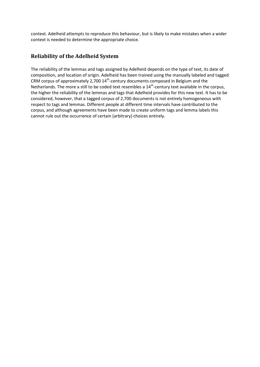context. Adelheid attempts to reproduce this behaviour, but is likely to make mistakes when a wider context is needed to determine the appropriate choice.

### **Reliability of the Adelheid System**

The reliability of the lemmas and tags assigned by Adelheid depends on the type of text, its date of composition, and location of origin. Adelheid has been trained using the manually labeled and tagged CRM corpus of approximately 2,700  $14^{th}$ -century documents composed in Belgium and the Netherlands. The more a still to be coded text resembles a  $14<sup>th</sup>$ -century text available in the corpus, the higher the reliability of the lemmas and tags that Adelheid provides for this new text. It has to be considered, however, that a tagged corpus of 2,700 documents is not entirely homogeneous with respect to tags and lemmas. Different people at different time intervals have contributed to the corpus, and although agreements have been made to create uniform tags and lemma labels this cannot rule out the occurrence of certain (arbitrary) choices entirely.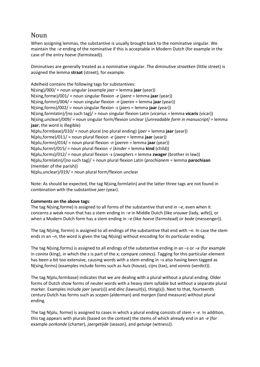# Noun

When assigning lemmas, the substantive is usually brought back to the nominative singular. We maintain the *–e* ending of the nominative if this is acceptable in Modern Dutch (for example in the case of the entry *hoeve* (farmstead)).

Diminutives are generally treated as a nominative singular. The diminutive *straetken* (little street) is assigned the lemma **straat** (street), for example.

Adelheid contains the following tags for substantives: N(sing)/000/ = noun singular (example *jaer* = lemma **jaar** (year)) N(sing,forme)/001/ = noun singular flexion *-e* (*jaere* = lemma **jaar** (year)) N(sing,formn)/004/ = noun singular flexion *-n* (*jaeren* = lemma **jaar** (year)) N(sing,forms)/002/ = noun singular flexion *-s* (*jaers* = lemma **jaar** (year)) N(sing,formlatin)/[no such tag]/ = noun singular flexion Latin (*vicarius* = lemma **vicaris** (vicar)) N(sing,unclear)/009/ = noun singular form/flexion unclear (*[unreadable form in manuscript]* = lemma **jaar**; the word is illegible) N(plu,formbase)/010/ = noun plural (no plural ending) (*jaer* = lemma **jaar** (year)) N(plu,forme)/011/ = noun plural flexion *-e* (*jaere* = lemma **jaar** (year)) N(plu,formn)/014/ = noun plural flexion *-n* (*jaeren* = lemma **jaar** (year)) N(plu,formr)/015/ = noun plural flexion *-r* (*kinder* = lemma **kind** (child)) N(plu,forms)/012/ = noun plural flexion -s (*zwaghers* = lemma **zwager** (brother in law)) N(plu,formlatin)/[no such tag]/ = noun plural flexion Latin (*prochianem* = lemma **parochiaan** (member of the parish)) N(plu,unclear)/019/ = noun plural form/flexion unclear

Note: As should be expected, the tag N(sing,formlatin) and the latter three tags are not found in combination with the substantive *jaer* (year).

#### **Comments on the above tags**:

The tag N(sing,forme) is assigned to all forms of the substantive that end in *–e*, even when it concerns a weak noun that has a stem ending in *–e* in Middle Dutch (like *vrouwe* (lady, wife)), or when a Modern Dutch form has a stem ending in *–e* (like *hoeve* (farmstead) or *bode* (messenger)).

The tag N(sing, formn) is assigned to all endings of the substantive that end with *–n*. In case the stem ends in an *–n*, the word is given the tag N(sing) without encoding for its particular ending.

The tag N(sing,forms) is assigned to all endings of the substantive ending in an *–s* or *–x* (for example in *coninx* (king), in which the *s* is part of the *x*; compare *conincs*). Tagging for this particular element has been a bit too extensive, causing words with a stem ending in *–s* also having been tagged as N(sing,forms) (examples include forms such as *huis* (house), cijns (tax), and *vonnis* (verdict)).

The tag N(plu,formbase) indicates that we are dealing with a plural without a plural ending. Older forms of Dutch show forms of neuter words with a heavy stem syllable but without a separate plural marker. Examples include *jaer* (year(s)) and *dinc* (lawsuit(s), thing(s)). Next to that, fourteenth century Dutch has forms such as *scepen* (alderman) and *morgen* (land measure) without plural ending.

The tag N(plu, forme) is assigned to cases in which a plural ending consists of stem + *-e*. In addition, this tag appears with plurals (based on the context) the stems of which already end in an *-e* (for example *oorkonde* (charter), *jaergetijde* (season), and *getuige* (witness)).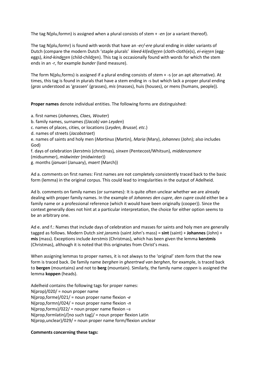The tag N(plu,formn) is assigned when a plural consists of stem + *-en* (or a variant thereof).

The tag N(plu,formr) is found with words that have an *-er/-ere* plural ending in older variants of Dutch (compare the modern Dutch 'staple plurals' *kleed-kl(ed)eren* (cloth-cloth(e)s), *ei-eieren* (eggeggs), *kind-kinderen* (child-children). This tag is occasionally found with words for which the stem ends in an -r, for example *bunder* (land measure).

The form N(plu,forms) is assigned if a plural ending consists of stem + -s (or an apt alternative). At times, this tag is found in plurals that have a stem ending in -s but which lack a proper plural ending (*gras* understood as 'grassen' (grasses), *mis* (masses), huis (houses), or mens (humans, people)).

**Proper names** denote individual entities. The following forms are distinguished:

a. first names (*Johannes, Claes, Wouter*) b. family names, surnames *((Jacob) van Leyden*) c. names of places, cities, or locations (*Leyden, Brussel, etc*.) d. names of streets (*Jacobstraet*) e. names of saints and holy men (*Martinus* (Martin), *Maria* (Mary), *Johannes* (John); also includes God) f. days of celebration (*kerstmis* (christmas)*, sinxen* (Pentecost/Whitsun), *middenzomere* (midsummer), *midwinter* (midwinter)) g. months (*januari* (January), *maert* (March))

Ad a. comments on first names: First names are not completely consistently traced back to the basic form (lemma) in the original corpus. This could lead to irregularities in the output of Adelheid.

Ad b. comments on family names (or surnames): It is quite often unclear whether we are already dealing with proper family names. In the example of *Johannes den cupre*, *den cupre* could either be a family name or a professional reference (which it would have been originally (cooper)). Since the context generally does not hint at a particular interpretation, the choice for either option seems to be an arbitrary one.

Ad e. and f.: Names that include days of celebration and masses for saints and holy men are generally tagged as follows. Modern Dutch *sint jansmis* (saint John's mass) = **sint** (saint) + **Johannes** (John) + **mis** (mass). Exceptions include *kerstmis* (Christmas), which has been given the lemma **kerstmis** (Christmas), although it is noted that this originates from Christ's mass.

When assigning lemmas to proper names, it is not always to the 'original' stem form that the new form is traced back. De family name *berghen* in *gheertrwd van berghen*, for example, is traced back to **bergen** (mountains) and not to **berg** (mountain). Similarly, the family name *coppen* is assigned the lemma **koppen** (heads).

Adelheid contains the following tags for proper names:  $N(\text{prop})/020/$  = noun proper name N(prop,forme)/021/ = noun proper name flexion *-e* N(prop,formn)/024/ = noun proper name flexion *-n* N(prop,forms)/022/ = noun proper name flexion *–s* N(prop,formlatin)/[no such tag]/ = noun proper flexion Latin N(prop,unclear)/029/ = noun proper name form/flexion unclear

#### **Comments concerning these tags:**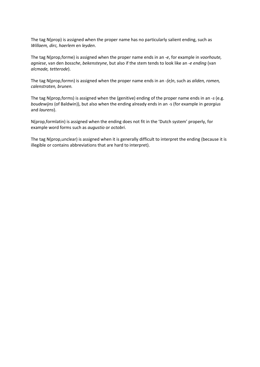The tag N(prop) is assigned when the proper name has no particularly salient ending, such as *Willaem, dirc, haerlem* en *leyden*.

The tag N(prop,forme) is assigned when the proper name ends in an *-e*, for example in *voorhoute, agniese*, van den *bossche*, *bekensteyne*, but also if the stem tends to look like an *-e ending* (van *alcmade, tetterode*).

The tag N(prop,formn) is assigned when the proper name ends in an *-(e)n*, such as *aliden, romen, calenstraten, brunen.*

The tag N(prop,forms) is assigned when the (genitive) ending of the proper name ends in an *-s* (e.g. *boudewijns* (of Baldwin)), but also when the ending already ends in an -s (for example in *georgius* and *laurens*).

N(prop,formlatin) is assigned when the ending does not fit in the 'Dutch system' properly, for example word forms such as *augustio* or *octobri*.

The tag N(prop,unclear) is assigned when it is generally difficult to interpret the ending (because it is illegible or contains abbreviations that are hard to interpret).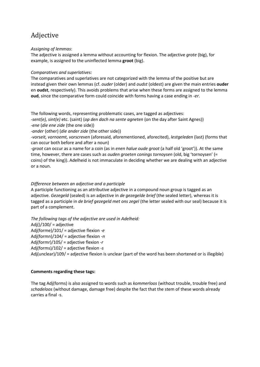# Adjective

#### *Assigning of lemmas*:

The adjective is assigned a lemma without accounting for flexion. The adjective *grote* (big), for example, is assigned to the uninflected lemma **groot** (big).

#### *Comparatives and superlatives:*

The comparatives and superlatives are not categorized with the lemma of the positive but are instead given their own lemmas (cf. *ouder* (older) and *oudst* (oldest) are given the main entries **ouder** en **oudst**, respectively). This avoids problems that arise when these forms are assigned to the lemma **oud**, since the comparative form could coincide with forms having a case ending in *-er*.

#### The following words, representing problematic cases, are tagged as adjectives:

*-sent(e), sint(e)* etc. (saint) (*op den dach na sente agneten* (on the day after Saint Agnes)) *-ene* (*die ene zide* (the one side))

*-ander* (other) (*die ander zide* (the other side))

*-vorseit, vornoemt, vorscreven* (aforesaid, aforementioned, aforecited), *lestgeleden* (last) (forms that can occur both before and after a noun)

*-groot* can occur as a name for a coin (as in *enen halue oude groot* (a half old 'groot')). At the same time, however, there are cases such as *ouden groeten conings tornoysen* (old, big 'tornoysen' (= coins) of the king)). Adelheid is not immaculate in deciding whether we are dealing with an adjective or a noun.

#### *Difference between an adjective and a participle*

A participle functioning as an attributive adjective in a compound noun group is tagged as an adjective. *Gezegeld* (sealed) is an adjective in *de gezegelde brief* (the sealed letter), whereas it is tagged as a participle in *de brief gezegeld met ons zegel* (the letter sealed with our seal) because it is part of a complement.

*The following tags of the adjective are used in Adelheid:* Adj( $)/100/$  = adjective Adj(forme)/101/ = adjective flexion *-e* Adj(formn)/104/ = adjective flexion *-n* Adj(formr)/105/ = adjective flexion *-r* Adj(forms)/102/ = adjective flexion *-s* Adj(unclear)/109/ = adjective flexion is unclear (part of the word has been shortened or is illegible)

#### **Comments regarding these tags:**

The tag Adj(forms) is also assigned to words such as *kommerloos* (without trouble, trouble free) and *schadeloos* (without damage, damage free) despite the fact that the stem of these words already carries a final -s.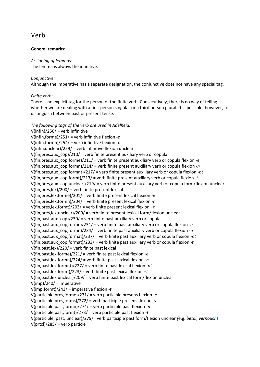# Verb

#### **General remarks:**

*Assigning of lemmas:* The lemma is always the infinitive.

#### *Conjunctive:*

Although the imperative has a separate designation, the conjunctive does not have any special tag.

#### *Finite verb:*

There is no explicit tag for the person of the finite verb. Consecutively, there is no way of telling whether we are dealing with a first person singular or a third person plural. It is possible, however, to distinguish between past or present tense.

*The following tags of the verb are used in Adelheid:* V(infin)/250/ = verb infinitive V(infin,forme)/251/ = verb infinitive flexion *-e* V(infin,formn)/254/ = verb infinitive flexion *-n* V(infin,unclear)/259/ = verb infinitive flexion unclear V(fin,pres,aux\_cop)/210/ = verb finite present auxiliary verb or copula V(fin,pres,aux\_cop,forme)/211/ = verb finite present auxiliary verb or copula flexion *-e* V(fin,pres,aux\_cop,formn)/214/ = verb finite present auxiliary verb or copula flexion *-n* V(fin,pres,aux\_cop,formnt)/217/ = verb finite present auxiliary verb or copula flexion *-nt* V(fin,pres,aux\_cop,formt)/213/ = verb finite present auxiliary verb or copula flexion *-t* V(fin,pres,aux\_cop,unclear)/219/ = verb finite present auxiliary verb or copula form/flexion unclear V(fin,pres,lex)/200/ = verb finite present lexical V(fin,pres,lex,forme)/201/ = verb finite present lexical flexion *-e* V(fin,pres,lex,formn)/204/ = verb finite present lexical flexion *-n* V(fin,pres,lex,formt)/203/ = verb finite present lexical flexion *–t* V(fin,pres,lex,unclear)/209/ = verb finite present lexical form/flexion unclear V(fin, past, aux  $\text{cop}$ )/230/ = verb finite past auxiliary verb or copula V(fin,past,aux\_cop,forme)/231/ = verb finite past auxiliary verb or copula flexion *-e* V(fin,past,aux\_cop,formn)/234/ = verb finite past auxiliary verb or copula flexion *-n* V(fin,past,aux\_cop,format)/237/ = verb finite past auxiliary verb or copula flexion *-nt* V(fin,past,aux\_cop,format)/233/ = verb finite past auxiliary verb or copula flexion *-t* V(fin,past,lex)/220/ = verb finite past lexical V(fin,past,lex,forme)/221/ = verb finite past lexical flexion *-e* V(fin,past,lex,formn)/224/ = verb finite past lexical flexion *-n* V(fin,past,lex,formnt)/227/ = verb finite past lexical flexion *-nt* V(fin,past,lex,formt)/223/ = verb finite past lexical flexion *–t* V(fin,past,lex,unclear)/209/ = verb finite past lexical form/flexion unclear  $V(imp)/240/$  = imperative V(imp,formt)/243/ = imperative flexion *-t* V(participle,pres,forme)/271/ = verb participle presens flexion *-e* V(participle,pres,forms)/272/ = verb participle presens flexion *-s* V(participle,past,formn)/274/ = verb participle past flexion *-n* V(participle,past,formt)/273/ = verb participle past flexion *-t* V(participle, past, unclear)/279/= verb participle past form/flexion unclear *(*e.g. *betal, vernouch*)  $V(\text{prtcl})/285/$  = verb particle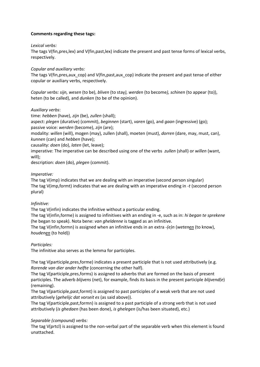#### **Comments regarding these tags:**

#### *Lexical verbs:*

The tags V(fin,pres,lex) and V(fin,past,lex) indicate the present and past tense forms of lexical verbs, respectively.

#### *Copular and auxiliary verbs:*

The tags V(fin, pres, aux\_cop) and V(fin, past, aux\_cop) indicate the present and past tense of either copular or auxiliary verbs, respectively.

*Copular verbs: sijn, wesen* (to be), *bliven* (to stay*), werden* (to become*), schinen* (to appear (to)), heten (to be called), and *dunken* (to be of the opinion).

#### *Auxiliary verbs*:

time: *hebben* (have), *zijn* (be), *zullen* (shall); aspect: *plegen* (durative) (commit), *beginnen* (start), *varen* (go), and *gaan* (ingressive) (go); passive voice: *werden* (become), *zijn* (are);

modality: *willen* (will), mogen (may), zullen (shall), moeten (must), *dorren* (dare, may, must, can), *kunnen* (can) and *hebben* (have);

causality: *doen* (do), *laten* (let, leave);

imperative: The imperative can be described using one of the verbs *zullen* (shall) or *willen* (want, will);

description: *doen* (do), *plegen* (commit).

#### *Imperative:*

The tag V(imp) indicates that we are dealing with an imperative (second person singular) The tag V(imp,formt) indicates that we are dealing with an imperative ending in *-t* (second person plural)

#### *Infinitive:*

The tag V(infin) indicates the infinitive without a particular ending.

The tag V(infin,forme) is assigned to infinitives with an ending in -e, such as in: *hi began te sprekene* (he began to speak). Nota bene: *van gheldenne* is tagged as an infinitive.

The tag V(infin,formn) is assigned when an infinitive ends in an extra *-(e)n* (*wetenen* (to know), *houdenen* (to hold))

#### *Participles:*

The infinitive also serves as the lemma for participles.

The tag V(participle,pres,forme) indicates a present participle that is not used attributively (e.g. *Rorende van dier ander helfte* (concerning the other half).

The tag V(participle,pres,forms) is assigned to adverbs that are formed on the basis of present participles. The adverb *blijvens* (net), for example, finds its basis in the present participle *blijvend(e*) (remaining).

The tag V(participle,past,formt) is assigned to past participles of a weak verb that are not used attributively (*gehelijc dat vorseit es* (as said above)).

The tag V(participle,past,formn) is assigned to a past participle of a strong verb that is not used attributively (*is ghedaen* (has been done), *is ghelegen* (is/has been situated), etc.)

#### *Separable (compound) verbs:*

The tag V(prtcl) is assigned to the non-verbal part of the separable verb when this element is found unattached.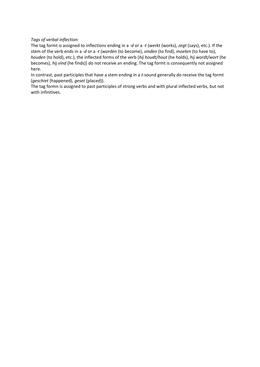#### *Tags of verbal inflection:*

The tag formt is assigned to inflections ending in a *-d* or a *-t* (*werkt* (works), *zegt* (says), etc.). If the stem of the verb ends in a *-d* or a *-t* (*worden* (to become), *vinden* (to find), *moeten* (to have to), *houden* (to hold), etc.), the inflected forms of the verb (*hij houdt/hout* (he holds), *hij wordt/wort* (he becomes), *hij vind* (he finds)) do not receive an ending. The tag formt is consequently not assigned here.

In contrast, past participles that have a stem ending in a *t-*sound generally do receive the tag formt (*geschiet* (happened), *geset* (placed)).

The tag formn is assigned to past participles of strong verbs and with plural inflected verbs, but not with infinitives.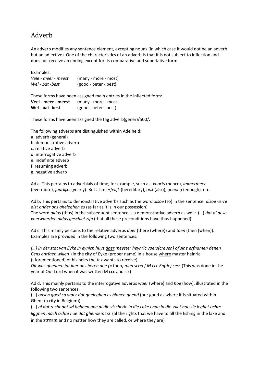# Adverb

An adverb modifies any sentence element, excepting nouns (in which case it would not be an adverb but an adjective). One of the characteristics of an adverb is that it is not subject to inflection and does not receive an ending except for its comparative and superlative form.

Examples:

| Vele - meer - meest | (many - more - most)  |
|---------------------|-----------------------|
| Wel - bat -best     | (good - beter - best) |

These forms have been assigned main entries in the inflected form: **Veel - meer - meest** (many - more - most) **Wel - bat -best** (good - beter - best)

These forms have been assigned the tag adverb(gener)/500/.

The following adverbs are distinguished within Adelheid:

- a. adverb (general)
- b. demonstrative adverb
- c. relative adverb
- d. interrogative adverb
- e. indefinite adverb
- f. resuming adverb
- g. negative adverb

Ad a. This pertains to adverbials of time, for example, such as: *voorts* (hence), *immermeer* (evermore), *jaarlijks* (yearly). But also: *erfelijk* (hereditary), *ook* (also), *genoeg* (enough), etc.

Ad b. This pertains to demonstrative adverbs such as the word *alsoe* (so) in the sentence: *alsoe verre alst onder ons gheleghen es* (as far as it is in our possession) The word *aldus* (thus) in the subsequent sentence is a demonstrative adverb as well: (…) *dat al dese voerwaerden aldus geschiet zijn* (that all these preconditions have thus happened)'.

Ad c. This mainly pertains to the relative adverbs *daer* (there (where)) and *toen* (then (when)). Examples are provided in the following two sentences:

*(…) in der stat van Eyke jn eynich huys daer meyster heynric voers(creuen) of sine erfnamen denen Cens ontfaen willen* (in the city of Eyke (proper name) in a house where master heinric (aforementioned) of his heirs the tax wants to receive) *Dit was ghedaen jnt jaer ons heren doe (=* toen*) men screef M ccc En(de) sess* (This was done in the

year of Our Lord when it was written M ccc and six)

Ad d. This mainly pertains to the interrogative adverbs *waer* (where) and *hoe* (how), illustrated in the following two sentences:

(…) *onsen goed so waer dat gheleghen es binnen ghend* (our good as where it is situated within Ghent (a city in Belgium))'

(…) *al dat recht dat wi hebben ane al die vischerie in die Lake ende in die Vliet hoe sie leghet ochte ligghen mach ochte hoe dat ghenoemt si* (al the rights that we have to all the fishing in the lake and in the stream and no matter how they are called, or where they are)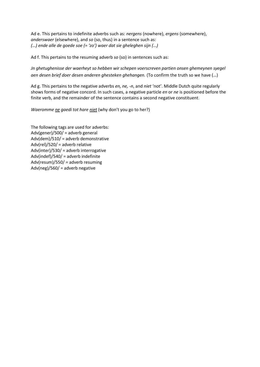Ad e. This pertains to indefinite adverbs such as: *nergens* (nowhere), *ergens* (somewhere), *anderswaer* (elsewhere), and *so* (so, thus) in a sentence such as: *(…) ende alle de goede soe (= 'zo') waer dat sie gheleghen sijn (…)*

Ad f. This pertains to the resuming adverb *so* (so) in sentences such as:

*Jn ghetughenisse der waerheyt so hebben wir schepen voerscreven partien onsen ghemeynen syegel aen desen brief doer desen anderen ghesteken ghehangen.* (To confirm the truth so we have (…)

Ad g. This pertains to the negative adverbs *en, ne, -n*, and *niet* 'not'. Middle Dutch quite regularly shows forms of negative concord. In such cases, a negative particle *en* or *ne* is positioned before the finite verb, and the remainder of the sentence contains a second negative constituent.

*Waeromme ne gaedi tot hare niet* (why don't you go to her?)

The following tags are used for adverbs: Adv(gener)/500/ = adverb general Adv(dem)/510/ = adverb demonstrative Adv(rel)/520/ = adverb relative Adv(inter)/530/ = adverb interrogative Adv(indef)/540/ = adverb indefinite Adv(resum)/550/ = adverb resuming Adv(neg)/560/ = adverb negative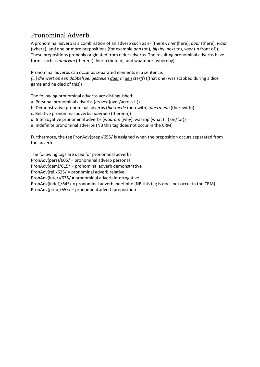# Pronominal Adverb

A pronominal adverb is a combination of an adverb such as *er* (there), *hier* (here), *daar* (there), *waar* (where), and one or more prepositions (for example *aan* (on), *bij* (by, next to), *voor* (in front of)). These prepositions probably originated from older adverbs. The resulting pronominal adverbs have forms such as *daarvan* (thereof), hierin (herein), and waardoor (whereby).

Pronominal adverbs can occur as separated elements in a sentence:

*(…) die wert op een dobbelspel gesteken daer hi aen sterff*) ((that one) was stabbed during a dice game and he died of this))

The following pronominal adverbs are distinguished:

- a. Personal pronominal adverbs (*erover* (over/across it))
- b. Demonstrative pronominal adverbs (*hiermede* (herewith), *daermede* (therewith))
- c. Relative pronominal adverbs (*daeraen* (thereon))
- d. Interrogative pronominal adverbs (*waarom* (why), waarop (what (…) on/for))
- e. Indefinite pronominal adverbs (NB this tag does not occur in the CRM)

Furthermore, the tag PronAdv(prep)/655/ is assigned when the preposition occurs separated from the adverb.

The following tags are used for pronominal adverbs: PronAdv(pers)/605/ = pronominal adverb personal PronAdv(dem)/615/ = pronominal adverb demonstrative PronAdv(rel)/625/ = pronominal adverb relative PronAdv(inter)/635/ = pronominal adverb interrogative PronAdv(indef)/645/ = pronominal adverb indefinite (NB this tag is does not occur in the CRM) PronAdv(prep)/655/ = pronominal adverb preposition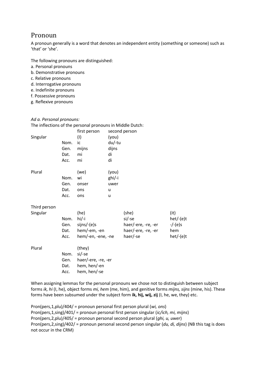# Pronoun

A pronoun generally is a word that denotes an independent entity (something or someone) such as 'that' or 'she'.

The following pronouns are distinguished:

- a. Personal pronouns
- b. Demonstrative pronouns
- c. Relative pronouns
- d. Interrogative pronouns
- e. Indefinite pronouns
- f. Possessive pronouns
- g. Reflexive pronouns

#### *Ad a. Personal pronouns:*

|  | The inflections of the personal pronouns in Middle Dutch: |
|--|-----------------------------------------------------------|
|--|-----------------------------------------------------------|

| Singular                 | Nom.<br>Gen.<br>Dat.<br>Acc. | first person<br>(1)<br>ic<br>mijns<br>mi<br>mi                          | (you)<br>du/-tu<br>dijns<br>di<br>di | second person                                                             |                                                         |
|--------------------------|------------------------------|-------------------------------------------------------------------------|--------------------------------------|---------------------------------------------------------------------------|---------------------------------------------------------|
| Plural                   | Nom.<br>Gen.<br>Dat.<br>Acc. | (we)<br>wi<br>onser<br>ons<br>ons                                       | (you)<br>ghi/-i<br>uwer<br>u<br>u    |                                                                           |                                                         |
| Third person<br>Singular | Nom.<br>Gen.<br>Dat.<br>Acc. | (he)<br>$hi/-i$<br>sijns/-(e)s<br>hem/-em, -en<br>hem/-en, -ene, -ne    |                                      | (she)<br>si/-se<br>haer/-ere, -re, -er<br>haer/-ere, -re, -er<br>haer/-se | (it)<br>$het/-(e)t$<br>$-/-(e)$ s<br>hem<br>$het/-(e)t$ |
| Plural                   | Nom.<br>Gen.<br>Dat.<br>Acc. | (they)<br>si/-se<br>haer/-ere, -re, -er<br>hem, hen/-en<br>hem, hen/-se |                                      |                                                                           |                                                         |

When assigning lemmas for the personal pronouns we chose not to distinguish between subject forms *ik, hi* (I, he), object forms *mi, hem* (me, him), and genitive forms *mijns, sijns* (mine, his). These forms have been subsumed under the subject form **ik, hij, wij, zij** (I, he, we, they) etc.

Pron(pers,1,plu)/404/ = pronoun personal first person plural (*wi, ons*) Pron(pers,1,sing)/401/ = pronoun personal first person singular (*ic/ich, mi, mijns*) Pron(pers,2,plu)/405/ = pronoun personal second person plural (*ghi, u, uwer*) Pron(pers,2,sing)/402/ = pronoun personal second person singular (*du, di, dijns*) (NB this tag is does not occur in the CRM)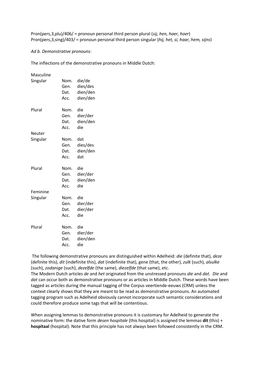Pron(pers,3,plu)/406/ = pronoun personal third person plural (*sij, hen, haer, hoer*) Pron(pers,3,sing)/403/ = pronoun personal third person singular (*hij, het, si, haar, hem, sijns*)

#### *Ad b. Demonstrative pronouns:*

The inflections of the demonstrative pronouns in Middle Dutch:

| Masculine |                                |                                            |
|-----------|--------------------------------|--------------------------------------------|
| Singular  | Nom.<br>Gen.<br>Dat.<br>Acc.   | die/de<br>dies/des<br>dien/den<br>dien/den |
| Plural    | Nom.<br>Gen.<br>Dat.<br>Acc.   | die<br>dier/der<br>dien/den<br>die         |
| Neuter    |                                |                                            |
| Singular  | Nom.<br>Gen.<br>Dat.<br>Acc.   | dat<br>dies/des<br>dien/den<br>dat         |
| Plural    | Nom.<br>Gen.<br>Dat.<br>Acc.   | die<br>dier/der<br>dien/den<br>die         |
| Feminine  |                                |                                            |
| Singular  | Nom.<br>Gen.<br>Dat.<br>Acc.   | die<br>dier/der<br>dier/der<br>die         |
| Plural    | Nom.<br>Gen.<br>Dat.<br>Acc. . | die<br>dier/der<br>dien/den<br>die         |

The following demonstrative pronouns are distinguished within Adelheid: *die* (definite that), *deze* (definite this), *dit* (indefinite this), *dat* (indefinite that), gene (that, the other), *zulk* (such), *alsulke* (such), *zodanige* (such), *dezelfde* (the same), *diezelfde* (that same), etc.

The Modern Dutch articles *de* and *het* originated from the unstressed pronouns *die* and *dat*. *Die* and *dat* can occur both as demonstrative pronouns or as articles in Middle Dutch. These words have been tagged as articles during the manual tagging of the Corpus veertiende-eeuws (CRM) unless the context clearly shows that they are meant to be read as demonstrative pronouns. An automated tagging program such as Adelheid obviously cannot incorporate such semantic considerations and could therefore produce some tags that will be contentious.

When assigning lemmas to demonstrative pronouns it is customary for Adelheid to generate the nominative form: the dative form *desen hospitale* (this hospital) is assigned the lemmas **dit** (this) + **hospitaal** (hospital). Note that this principle has not always been followed consistently in the CRM.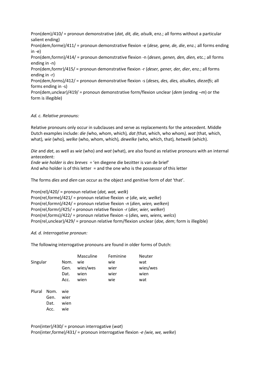Pron(dem)/410/ = pronoun demonstrative (*dat, dit, die, alsulk*, enz.; all forms without a particular salient ending) Pron(dem,forme)/411/ = pronoun demonstrative flexion -e (*dese, gene, de, die*, enz.; all forms ending in -e) Pron(dem,formn)/414/ = pronoun demonstrative flexion -n (*desen, genen, den, dien,* etc.; all forms ending in -n) Pron(dem,formr)/415/ = pronoun demonstrative flexion -r (*deser, gener, der, dier*, enz.; all forms ending in -r) Pron(dem,forms)/412/ = pronoun demonstrative flexion -s (*deses, des, dies, alsulkes, diezelfs*; all forms ending in -s) Pron(dem,unclear)/419/ = pronoun demonstrative form/flexion unclear (*dem* (ending *–m*) or the form is illegible)

#### *Ad. c. Relative pronouns:*

Relative pronouns only occur in subclauses and serve as replacements for the antecedent. Middle Dutch examples include: *die (*who, whom, which)*, dat (*that, which, who whom*), wat* (that, which, what)*, wie* (who)*, welke* (who, whom, which)*, dewelke* (who, which, that)*, hetwelk* (which).

*Die* and *dat*, as well as *wie* (who) and *wat* (what), are also found as relative pronouns with an internal antecedent:

*Ende wie holder is des breves* = 'en diegene die bezitter is van de brief' And who holder is of this letter = and the one who is the possessor of this letter

The forms *dies* and *dien* can occur as the object and genitive form of *dat* 'that'.

Pron(rel)/420/ = pronoun relative (*dat, wat, welk*) Pron(rel,forme)/421/ = pronoun relative flexion -*e* (*die, wie, welke*) Pron(rel,formn)/424/ = pronoun relative flexion *-n* (*dien, wien, welken*) Pron(rel,formr)/425/ = pronoun relative flexion *-r* (*dier, wier, welker*) Pron(rel,forms)/422/ = pronoun relative flexion *-s* (*dies, wes, wiens, welcs*) Pron(rel,unclear)/429/ = pronoun relative form/flexion unclear (*doe, dem*; form is illegible)

#### *Ad. d. Interrogative pronoun:*

The following interrogative pronouns are found in older forms of Dutch:

| Singular |                              | Nom.<br>Gen.<br>Dat.<br>Acc. | <b>Masculine</b><br>wie<br>wies/wes<br>wien<br>wien | Feminine<br>wie<br>wier<br>wier<br>wie | <b>Neuter</b><br>wat<br>wies/wes<br>wien<br>wat |
|----------|------------------------------|------------------------------|-----------------------------------------------------|----------------------------------------|-------------------------------------------------|
| Plural   | Nom.<br>Gen.<br>Dat.<br>Acc. | wie<br>wier<br>wien<br>wie   |                                                     |                                        |                                                 |

Pron(inter)/430/ = pronoun interrogative (*wat*) Pron(inter,forme)/431/ = pronoun interrogative flexion *-e (wie, we, welke*)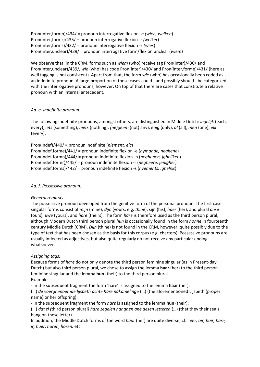Pron(inter,formn)/434/ = pronoun interrogative flexion *-n (wien, welken*) Pron(inter,formr)/435/ = pronoun interrogative flexion *-r (welker*) Pron(inter,forms)/432/ = pronoun interrogative flexion *-s (wies*) Pron(inter,unclear)/439/ = pronoun interrogative form/flexion unclear (*wiem*)

We observe that, in the CRM, forms such as *wiem* (who) receive tag Pron(inter)/430/ and Pron(inter,unclear)/439/, *wie* (who) has code Pron(inter)/430/ and Pron(inter,forme)/431/ (here as well tagging is not consistent). Apart from that, the form *wie* (who) has occasionally been coded as an indefinite pronoun. A large proportion of these cases could - and possibly should - be categorized with the interrogative pronouns, however. On top of that there are cases that constitute a relative pronoun with an internal antecedent.

#### *Ad. e. Indefinite pronoun:*

The following indefinite pronouns, amongst others, are distinguished in Middle Dutch: *iegelijk* (each, every), *iets* (something), *niets* (nothing), *(ne)geen* ((not) any), *enig* (only), *al* (all), *men* (one), *elk* (every).

Pron(indef)/440/ = pronoun indefinite (*niement, elc*) Pron(indef,forme)/441/ = pronoun indefinite flexion -e (*nymande, neghene*) Pron(indef,formn)/444/ = pronoun indefinite flexion -n (*neghenen, jgheliken*) Pron(indef,formr)/445/ = pronoun indefinite flexion -r (*negheere, jenigher*) Pron(indef,forms)/442/ = pronoun indefinite flexion -s (*nyements, ighelixs*)

#### *Ad. f. Possessive pronoun:*

#### *General remarks:*

The possessive pronoun developed from the genitive form of the personal pronoun. The first case singular forms consist of *mijn* (mine), *dijn* (yours; e.g. *thine*), sijn (his), *haer* (her); and plural *onse* (ours), *uwe* (yours), and *hare* (theirs). The form *hare* is therefore used as the third person plural, although Modern Dutch third person plural *hun* is occasionally found in the form *honne* in fourteenth century Middle Dutch (CRM). *Dijn* (thine) is not found in the CRM, however, quite possibly due to the type of text that has been chosen as the basis for this corpus (e.g. charters). Possessive pronouns are usually inflected as adjectives, but also quite regularly do not receive any particular ending whatsoever.

#### *Assigning tags:*

Because forms of *hare* do not only denote the third person feminine singular (as in Present-day Dutch) but also third person plural, we chose to assign the lemma **haar** (her) to the third person feminine singular and the lemma **hun** (their) to the third person plural. Examples:

- In the subsequent fragment the form 'hare' is assigned to the lemma **haar** (her):

(…) *de voerghenoemde lijsbeth ochte hare nakomelinge* (…) (the aforementioned Lijsbeth (proper name) or her offspring).

- In the subsequent fragment the form *hare* is assigned to the lemma **hun** (their):

(…) *dat zi (*third person plural*) hare zegelen hanghen ane desen letteren* (…) (that they their seals hang on these letter)

In addition, the Middle Dutch forms of the word *haar* (her) are quite diverse, cf.: *eer, oir, hoir, hare, ir, huer, huren, horen,* etc.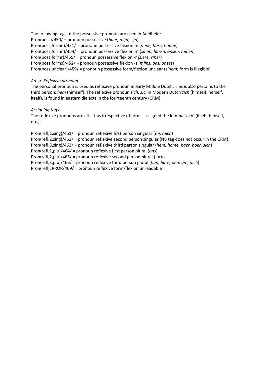The following tags of the possessive pronoun are used in Adelheid: Pron(poss)/450/ = pronoun possessive (*haer, mijn, sijn*) Pron(poss,forme)/451/ = pronoun possessive flexion -e (*mine, hare, honne*) Pron(poss,formn)/454/ = pronoun possessive flexion -n (*sinen, haren, onsen, minen*) Pron(poss,formr)/455/ = pronoun possessive flexion -r *(siere, siner*) Pron(poss,forms)/452/ = pronoun possessive flexion -s (*miins, ons, onses*) Pron(poss,unclear)/459/ = pronoun possessive form/flexion unclear (*sinem*; form is illegible)

#### *Ad. g. Reflexive pronoun:*

The personal pronoun is used as reflexive pronoun in early Middle Dutch. This is also pertains to the third person: *hem* (himself). The reflexive pronoun *sich, sic,* in Modern Dutch *zich* (himself, herself, itself), is found in eastern dialects in the fourteenth century (CRM).

#### *Assigning tags:*

The reflexive pronouns are all - thus irrespective of form - assigned the lemma 'zich' (itself, himself, etc.).

Pron(refl,1,sing)/461/ = pronoun reflexive first person singular (*mi, mich*) Pron(refl,2,sing)/462/ = pronoun reflexive second person singular (NB tag does not occur in the CRM) Pron(refl,3,sing)/463/ = pronoun reflexive third person singular (*hem, home, haer, hoer, sich*) Pron(refl,1,plu)/464/ = pronoun reflexive first person plural (*ons*) Pron(refl,2,plu)/465/ = pronoun reflexive second person plural ( *uch*) Pron(refl,3,plu)/466/ = pronoun reflexive third person plural (*hun, hare, oen, um, dich*) Pron(refl,ERROR/469/ = pronoun reflexive form/flexion unreadable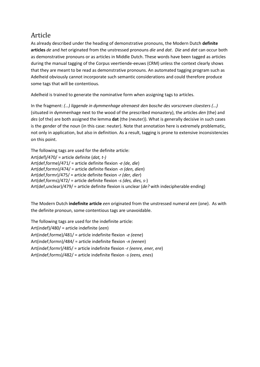# Article

As already described under the heading of demonstrative pronouns, the Modern Dutch **definite articles** *de* and *het* originated from the unstressed pronouns *die* and *dat*. *Die* and *dat* can occur both as demonstrative pronouns or as articles in Middle Dutch. These words have been tagged as articles during the manual tagging of the Corpus veertiende-eeuws (CRM) unless the context clearly shows that they are meant to be read as demonstrative pronouns. An automated tagging program such as Adelheid obviously cannot incorporate such semantic considerations and could therefore produce some tags that will be contentious.

Adelheid is trained to generate the nominative form when assigning tags to articles.

In the fragment: *(…) liggende in dymmenhage alrenaest den bosche des vorscreven cloesters (…)* (situated in dymmenhage next to the wood of the prescribed monastery), the articles *den* (the) and *des* (of the) are both assigned the lemma **dat** (the (neuter)). What is generally decisive in such cases is the gender of the noun (in this case: neuter). Note that annotation here is extremely problematic, not only in application, but also in definition. As a result, tagging is prone to extensive inconsistencies on this point.

The following tags are used for the definite article: Art(def)/470/ = article definite (*dat, t-)* Art(def,forme)/471/ = article definite flexion *-e (de, die*) Art(def,formn)/474/ = article definite flexion *-n (den, dien*) Art(def,formr)/475/ = article definite flexion *-r (der, dier*) Art(def,forms)/472/ = article definite flexion -*s (des, dies, s-*) Art(def,unclear)/479/ = article definite flexion is unclear (*de?* with indecipherable ending)

The Modern Dutch **indefinite article** *een* originated from the unstressed numeral *een* (one). As with the definite pronoun, some contentious tags are unavoidable.

The following tags are used for the indefinite article: Art(indef)/480/ = article indefinite (*een*) Art(indef,forme)/481/ = article indefinite flexion *-e (eene*) Art(indef,formn)/484/ = article indefinite flexion *-n (eenen*) Art(indef,formr)/485/ = article indefinite flexion *-r (eenre, ener, ere*) Art(indef,forms)/482/ = article indefinite flexion *-s (eens, enes*)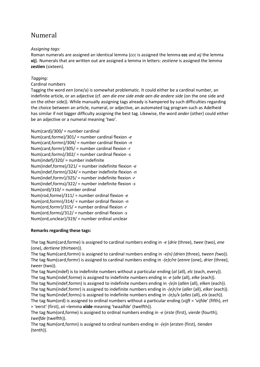# Numeral

#### *Assigning tags:*

Roman numerals are assigned an identical lemma (*ccc* is assigned the lemma **ccc** and *xij* the lemma **xij**). Numerals that are written out are assigned a lemma in letters: *zestiene* is assigned the lemma **zestien** (sixteen).

#### *Tagging:*

#### Cardinal numbers

Tagging the word *een* (one/a) is somewhat problematic. It could either be a cardinal number, an indefinite article, or an adjective (cf. *aen die ene side ende aen die andere side* (on the one side and on the other side)). While manually assigning tags already is hampered by such difficulties regarding the choice between an article, numeral, or adjective, an automated tag program such as Adelheid has similar if not bigger difficulty assigning the best tag. Likewise, the word *ander* (other) could either be an adjective or a numeral meaning 'two'.

#### Num(card)/300/ = number cardinal

| Num(card,forme)/301/ = number cardinal flexion -e    |
|------------------------------------------------------|
| Num(card,formn)/304/ = number cardinal flexion -n    |
| Num(card,formr)/305/ = number cardinal flexion -r    |
| Num(card,forms)/302/ = number cardinal flexion -s    |
| Num(indef)/320/ = number indefinite                  |
| Num(indef,forme)/321/ = number indefinite flexion -e |
| Num(indef,formn)/324/ = number indefinite flexion -n |
| Num(indef,formr)/325/ = number indefinite flexion -r |
| Num(indef,forms)/322/ = number indefinite flexion -s |
| $Num(ord)/310/$ = number ordinal                     |
| Num(rod,forme)/311/ = number ordinal flexion -e      |
| Num(ord,formn)/314/ = number ordinal flexion -n      |
| Num(ord,formr)/315/ = number ordinal flexion -r      |
| Num(ord, forms)/312/ = number ordinal flexion -s     |
| Num(ord,unclear)/319/ = number ordinal unclear       |

#### **Remarks regarding these tags:**

The tag Num(card,forme) is assigned to cardinal numbers ending in *-e* (*drie* (three), *twee* (two), *ene* (one), *dertiene* (thirteen)).

The tag Num(card,formn) is assigned to cardinal numbers ending in *-e(n) (drien* (three), *tween (*two)). The tag Num(card,formr) is assigned to cardinal numbers ending in *-(e)r/re* (*eenre* (one), *drier* (three), *tweer* (two)).

The tag Num(indef) is to indefinite numbers without a particular ending (*al* (all), *elc* (each, every)). The tag Num(indef,forme) is assigned to indefinite numbers ending in *-e* (*alle* (all), *elke* (each)). The tag Num(indef,formn) is assigned to indefinite numbers ending in *-(e)n* (*allen* (all), *elken* (each)). The tag Num(indef,formr) is assigned to indefinite numbers ending in *-(e)r/re* (*aller* (all), *elker* (each)). The tag Num(indef,forms) is assigned to indefinite numbers ending in *-(e)s/x* (*alles* (all), *elx* (each)). The tag Num(ord) is assigned to ordinal numbers without a particular ending (*vijft* = 'vijfde' (fifth), *ert* = 'eerst' (first), *xii* =lemma **xiide** meaning 'twaalfde' (twelfth)).

The tag Num(ord,forme) is assigned to ordinal numbers ending in *-e* (*irste* (first), *vierde* (fourth), *twelfde* (twelfth)).

The tag Num(ord,formn) is assigned to ordinal numbers ending in *-(e)n* (*ersten* (first), *tienden* (tenth)).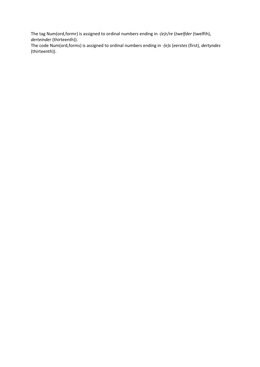The tag Num(ord,formr) is assigned to ordinal numbers ending in *-(e)r/re* (*twelfder* (twelfth), *derteinder* (thirteenth)).

The code Num(ord,forms) is assigned to ordinal numbers ending in *-(e)s* (*eerstes* (first), *dertyndes* (thirteenth)).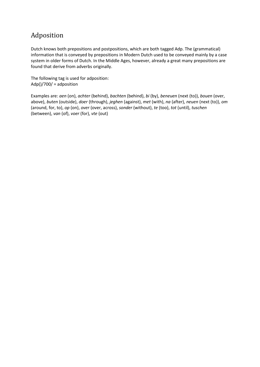# Adposition

Dutch knows both prepositions and postpositions, which are both tagged Adp. The (grammatical) information that is conveyed by prepositions in Modern Dutch used to be conveyed mainly by a case system in older forms of Dutch. In the Middle Ages, however, already a great many prepositions are found that derive from adverbs originally.

The following tag is used for adposition:  $Adp$ ()/700/ = adposition

Examples are: *aen* (on), *achter* (behind), *bachten* (behind), *bi* (by), *beneuen* (next (to)), *bouen* (over, above), *buten* (outside), *doer* (through), *jeghen* (against), *met* (with), *na* (after), *neuen* (next (to)), *om* (around, for, to), *op* (on), *over* (over, across), *sonder* (without), *te* (too), *tot* (until), *tuschen* (between), *van* (of), *voer* (for), *vte* (out)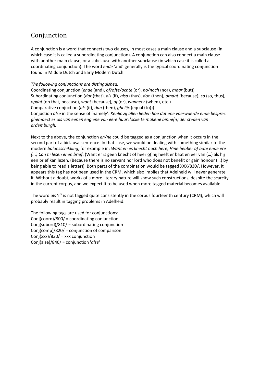# Conjunction

A conjunction is a word that connects two clauses, in most cases a main clause and a subclause (in which case it is called a subordinating conjunction). A conjunction can also connect a main clause with another main clause, or a subclause with another subclause (in which case it is called a coordinating conjunction). The word *ende* 'and' generally is the typical coordinating conjunction found in Middle Dutch and Early Modern Dutch.

#### *The following conjunctions are distinguished:*

Coordinating conjunction (*ende* (and), *of/ofte/ochte* (or), *no/noch* (nor), *maar* (but)) Subordinating conjunction (*dat* (that), *als* (if), *also* (thus), *doe* (then), *omdat* (because), *so* (so, thus), *opdat* (on that, because), *want* (because), *of* (or), *wanneer* (when), etc.) Comparative conjuction (*als* (if), *dan* (then), *ghelijc* (equal (to))) Conjuction *alse* in the sense of 'namely': *Kenlic zij allen lieden hoe dat ene voerwaerde ende besprec ghemaect es als van eenen engiene van eere huurclocke te makene binne(n) der steden van ardemburgh.*

Next to the above, the conjunction *en/ne* could be tagged as a conjunction when it occurs in the second part of a biclausal sentence. In that case, we would be dealing with something similar to the modern *balansschikking*, for example in: *Want en es knecht noch here, Hine hebber af bate ende ere (...) Can hi lesen enen brief*. (Want er is geen knecht of heer of hij heeft er baat en eer van (…) als hij een brief kan lezen. (Because there is no servant nor lord who does not benefit or gain honour (…) by being able to read a letter)). Both parts of the combination would be tagged XXX/830/. However, it appears this tag has not been used in the CRM, which also implies that Adelheid will never generate it. Without a doubt, works of a more literary nature will show such constructions, despite the scarcity in the current corpus, and we expect it to be used when more tagged material becomes available.

The word *als* 'if' is not tagged quite consistently in the corpus fourteenth century (CRM), which will probably result in tagging problems in Adelheid.

The following tags are used for conjunctions: Conj(coord)/800/ = coordinating conjunction Conj(subord)/810/ = subordinating conjunction Conj(comp)/820/ = conjunction of comparison Conj(xxx)/830/ = xxx conjunction Conj(alse)/840/ = conjunction '*alse*'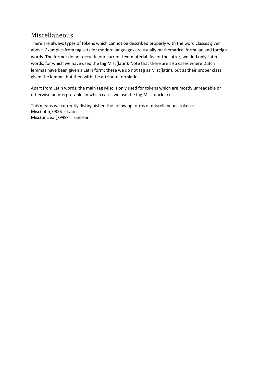# Miscellaneous

There are always types of tokens which cannot be described properly with the word classes given above. Examples from tag sets for modern languages are usually mathematical formulae and foreign words. The former do not occur in our current text material. As for the latter, we find only Latin words, for which we have used the tag Misc(latin). Note that there are also cases where Dutch lemmas have been given a Latin form; these we do not tag as Misc(latin), but as their proper class given the lemma, but then with the attribute formlatin.

Apart from Latin words, the main tag Misc is only used for tokens which are mostly unreadable or otherwise uninterpretable, in which cases we use the tag Misc(unclear).

This means we currently distinguished the following forms of miscellaneous tokens: Misc(latin)/900/ = Latin Misc(unclear)/999/ = unclear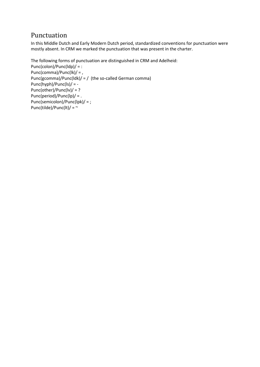# Punctuation

In this Middle Dutch and Early Modern Dutch period, standardized conventions for punctuation were mostly absent. In CRM we marked the punctuation that was present in the charter.

```
The following forms of punctuation are distinguished in CRM and Adelheid:
Punc(colon)/Punc(ldp)/ = :
Punc(comma)/Punc(lk)/ = ,
Punc(gcomma)/Punc(ldk)/ = / (the so-called German comma)
Punc(hyph)/Punc(ls)/ = -
Punc(other)/Punc(lv)/ = ?
Punc(period)/Punc(lp)/ = .
Punc(semicolon)/Punc(lpk)/ = ;
Punc(tilde)/Punc(lt)/ = \sim
```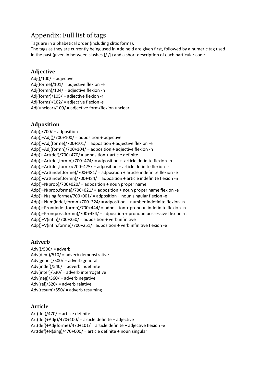# Appendix: Full list of tags

Tags are in alphabetical order (including clitic forms).

The tags as they are currently being used in Adelheid are given first, followed by a numeric tag used in the past (given in between slashes  $\left[ / \right]$ ) and a short description of each particular code.

### **Adjective**

Adj()/100/ = adjective Adj(forme)/101/ = adjective flexion -e Adj(formn)/104/ = adjective flexion -n Adj(formr)/105/ = adjective flexion -r Adj(forms)/102/ = adjective flexion -s Adj(unclear)/109/ = adjective form/flexion unclear

## **Adposition**

Adp()/700/ = adposition  $Adp() + Adj() / 700 + 100/ = adposition + adjective$ Adp()+Adj(forme)/700+101/ = adposition + adjective flexion -e Adp()+Adj(formn)/700+104/ = adposition + adjective flexion -n Adp()+Art(def)/700+470/ = adposition + article definite Adp()+Art(def,formn)/700+474/ = adposition + article definite flexion -n Adp()+Art(def,formr)/700+475/ = adposition + article definite flexion -r Adp()+Art(indef,forme)/700+481/ = adposition + article indefinite flexion -e Adp()+Art(indef,formn)/700+484/ = adposition + article indefinite flexion -n Adp()+N(prop)/700+020/ = adposition + noun proper name Adp()+N(prop,forme)/700+021/ = adposition + noun proper name flexion -e Adp()+N(sing,forme)/700+001/ = adposition + noun singular flexion -e Adp()+Num(indef,formn)/700+324/ = adposition + number indefinite flexion -n Adp()+Pron(indef,formn)/700+444/ = adposition + pronoun indefinite flexion -n Adp()+Pron(poss,formn)/700+454/ = adposition + pronoun possessive flexion -n Adp()+V(infin)/700+250/ = adposition + verb infinitive Adp()+V(infin,forme)/700+251/= adposition + verb infinitive flexion -e

## **Adverb**

 $Adv()$ /500/ = adverb Adv(dem)/510/ = adverb demonstrative Adv(gener)/500/ = adverb general Adv(indef)/540/ = adverb indefinite Adv(inter)/530/ = adverb interrogative Adv(neg)/560/ = adverb negative Adv(rel)/520/ = adverb relative Adv(resum)/550/ = adverb resuming

### **Article**

Art(def)/470/ = article definite Art(def)+Adj()/470+100/ = article definite + adjective Art(def)+Adj(forme)/470+101/ = article definite + adjective flexion -e Art(def)+N(sing)/470+000/ = article definite + noun singular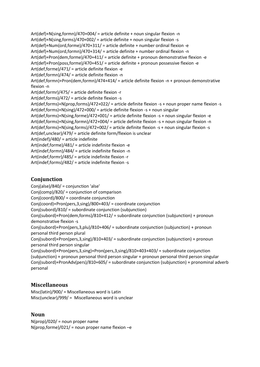Art(def)+N(sing,formn)/470+004/ = article definite + noun singular flexion -n Art(def)+N(sing,forms)/470+002/ = article definite + noun singular flexion -s Art(def)+Num(ord,forme)/470+311/ = article definite + number ordinal flexion -e Art(def)+Num(ord,formn)/470+314/ = article definite + number ordinal flexion -n Art(def)+Pron(dem,forme)/470+411/ = article definite + pronoun demonstrative flexion -e Art(def)+Pron(poss,forme)/470+451/ = article definite + pronoun possessive flexion -e Art(def,forme)/471/ = article definite flexion -e Art(def,formn)/474/ = article definite flexion -n Art(def,formn)+Pron(dem,formn)/474+414/ = article definite flexion -n + pronoun demonstrative flexion -n Art(def,formr)/475/ = article definite flexion -r Art(def,forms)/472/ = article definite flexion -s Art(def,forms)+N(prop,forms)/472+022/ = article definite flexion -s + noun proper name flexion -s Art(def,forms)+N(sing)/472+000/ = article definite flexion -s + noun singular Art(def,forms)+N(sing,forme)/472+001/ = article definite flexion -s + noun singular flexion -e Art(def,forms)+N(sing,formn)/472+004/ = article definite flexion -s + noun singular flexion -n Art(def,forms)+N(sing,forms)/472+002/ = article definite flexion -s + noun singular flexion -s Art(def,unclear)/479/ = article definite form/flexion is unclear Art(indef)/480/ = article indefinite Art(indef,forme)/481/ = article indefinite flexion -e Art(indef,formn)/484/ = article indefinite flexion -n Art(indef,formr)/485/ = article indefinite flexion -r Art(indef,forms)/482/ = article indefinite flexion -s

### **Conjunction**

Conj(alse)/840/ = conjunction 'alse' Conj(comp)/820/ = conjunction of comparison Conj(coord)/800/ = coordinate conjunction Conj(coord)+Pron(pers,3,sing)/800+403/ = coordinate conjunction Conj(subord)/810/ = subordinate conjunction (subjunction) Conj(subord)+Pron(dem,forms)/810+412/ = subordinate conjunction (subjunction) + pronoun demonstrative flexion -s Conj(subord)+Pron(pers,3,plu)/810+406/ = subordinate conjunction (subjunction) + pronoun personal third person plural Conj(subord)+Pron(pers,3,sing)/810+403/ = subordinate conjunction (subjunction) + pronoun personal third person singular Conj(subord)+Pron(pers,3,sing)+Pron(pers,3,sing)/810+403+403/ = subordinate conjunction (subjunction) + pronoun personal third person singular + pronoun personal third person singular Conj(subord)+PronAdv(pers)/810+605/ = subordinate conjunction (subjunction) + pronominal adverb personal

### **Miscellaneous**

Misc(latin)/900/ = Miscellaneous word is Latin Misc(unclear)/999/ = Miscellaneous word is unclear

### **Noun**

 $N$ (prop)/020/ = noun proper name  $N$ (prop,forme)/021/ = noun proper name flexion  $-e$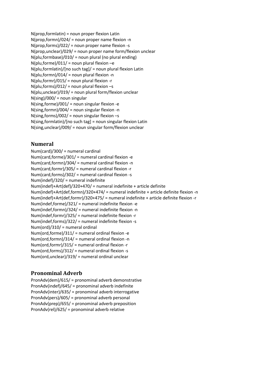N(prop,formlatin) = noun proper flexion Latin  $N(\text{prop}, \text{form})/024/ = \text{noun proper name flexion -n}$ N(prop,forms)/022/ = noun proper name flexion -s N(prop,unclear)/029/ = noun proper name form/flexion unclear N(plu,formbase)/010/ = noun plural (no plural ending)  $N($ plu,forme $)/011/$  = noun plural flexion –e N(plu,formlatin)/[no such tag]/ = noun plural flexion Latin  $N($ plu,formn)/014/ = noun plural flexion -n  $N($ plu,formr $)/015/$  = noun plural flexion -r  $N($ plu,forms $)/012/$  = noun plural flexion -s N(plu,unclear)/019/ = noun plural form/flexion unclear N(sing)/000/ = noun singular N(sing,forme)/001/ = noun singular flexion -e N(sing,formn)/004/ = noun singular flexion -n  $N(sing, forms)/002/ =$  noun singular flexion  $-s$ N(sing,formlatin)/[no such tag] = noun singular flexion Latin N(sing,unclear)/009/ = noun singular form/flexion unclear

### **Numeral**

Num(card)/300/ = numeral cardinal Num(card,forme)/301/ = numeral cardinal flexion -e Num(card,formn)/304/ = numeral cardinal flexion -n Num(card,formr)/305/ = numeral cardinal flexion -r Num(card,forms)/302/ = numeral cardinal flexion -s Num(indef)/320/ = numeral indefinite Num(indef)+Art(def)/320+470/ = numeral indefinite + article definite Num(indef)+Art(def,formn)/320+474/ = numeral indefinite + article definite flexion -n Num(indef)+Art(def,formr)/320+475/ = numeral indefinite + article definite flexion -r Num(indef,forme)/321/ = numeral indefinite flexion -e Num(indef,formn)/324/ = numeral indefinite flexion -n Num(indef,formr)/325/ = numeral indefinite flexion -r Num(indef,forms)/322/ = numeral indefinite flexion -s Num(ord)/310/ = numeral ordinal Num(ord,forme)/311/ = numeral ordinal flexion -e Num(ord,formn)/314/ = numeral ordinal flexion -n Num(ord,formr)/315/ = numeral ordinal flexion -r Num(ord,forms)/312/ = numeral ordinal flexion -s Num(ord,unclear)/319/ = numeral ordinal unclear

### **Pronominal Adverb**

PronAdv(dem)/615/ = pronominal adverb demonstrative PronAdv(indef)/645/ = pronominal adverb indefinite PronAdv(inter)/635/ = pronominal adverb interrogative PronAdv(pers)/605/ = pronominal adverb personal PronAdv(prep)/655/ = pronominal adverb preposition PronAdv(rel)/625/ = pronominal adverb relative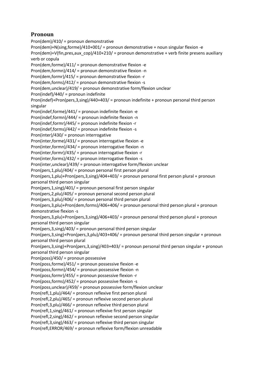### **Pronoun**

Pron(dem)/410/ = pronoun demonstrative Pron(dem)+N(sing,forme)/410+001/ = pronoun demonstrative + noun singular flexion -e Pron(dem)+V(fin,pres,aux\_cop)/410+210/ = pronoun demonstrative + verb finite presens auxiliary verb or copula Pron(dem,forme)/411/ = pronoun demonstrative flexion -e Pron(dem,formn)/414/ = pronoun demonstrative flexion -n Pron(dem,formr)/415/ = pronoun demonstrative flexion -r Pron(dem,forms)/412/ = pronoun demonstrative flexion -s Pron(dem,unclear)/419/ = pronoun demonstrative form/flexion unclear Pron(indef)/440/ = pronoun indefinite Pron(indef)+Pron(pers,3,sing)/440+403/ = pronoun indefinite + pronoun personal third person singular Pron(indef,forme)/441/ = pronoun indefinite flexion -e Pron(indef,formn)/444/ = pronoun indefinite flexion -n Pron(indef,formr)/445/ = pronoun indefinite flexion -r Pron(indef,forms)/442/ = pronoun indefinite flexion -s Pron(inter)/430/ = pronoun interrogative Pron(inter,forme)/431/ = pronoun interrogative flexion -e Pron(inter,formn)/434/ = pronoun interrogative flexion -n Pron(inter,formr)/435/ = pronoun interrogative flexion -r Pron(inter,forms)/432/ = pronoun interrogative flexion -s Pron(inter,unclear)/439/ = pronoun interrogative form/flexion unclear Pron(pers,1,plu)/404/ = pronoun personal first person plural Pron(pers,1,plu)+Pron(pers,3,sing)/404+403/ = pronoun personal first person plural + pronoun personal third person singular Pron(pers,1,sing)/401/ = pronoun personal first person singular Pron(pers,2,plu)/405/ = pronoun personal second person plural Pron(pers,3,plu)/406/ = pronoun personal third person plural Pron(pers,3,plu)+Pron(dem,forms)/406+406/ = pronoun personal third person plural + pronoun demonstrative flexion -s Pron(pers,3,plu)+Pron(pers,3,sing)/406+403/ = pronoun personal third person plural + pronoun personal third person singular Pron(pers,3,sing)/403/ = pronoun personal third person singular Pron(pers,3,sing)+Pron(pers,3,plu)/403+406/ = pronoun personal third person singular + pronoun personal third person plural Pron(pers,3,sing)+Pron(pers,3,sing)/403+403/ = pronoun personal third person singular + pronoun personal third person singular Pron(poss)/450/ = pronoun possessive Pron(poss,forme)/451/ = pronoun possessive flexion -e Pron(poss,formn)/454/ = pronoun possessive flexion -n Pron(poss,formr)/455/ = pronoun possessive flexion -r Pron(poss,forms)/452/ = pronoun possessive flexion -s Pron(poss,unclear)/459/ = pronoun possessive form/flexion unclear Pron(refl,1,plu)/464/ = pronoun reflexive first person plural Pron(refl,2,plu)/465/ = pronoun reflexive second person plural Pron(refl,3,plu)/466/ = pronoun reflexive third person plural Pron(refl,1,sing)/461/ = pronoun reflexive first person singular Pron(refl,2,sing)/462/ = pronoun reflexive second person singular Pron(refl,3,sing)/463/ = pronoun reflexive third person singular Pron(refl,ERROR/469/ = pronoun reflexive form/flexion unreadable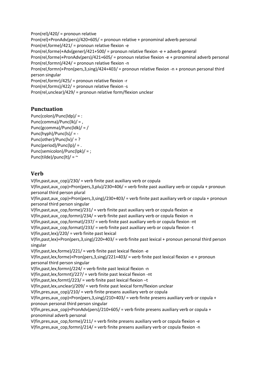Pron(rel)/420/ = pronoun relative Pron(rel)+PronAdv(pers)/420+605/ = pronoun relative + pronominal adverb personal Pron(rel,forme)/421/ = pronoun relative flexion -e Pron(rel,forme)+Adv(gener)/421+500/ = pronoun relative flexion -e + adverb general Pron(rel,forme)+PronAdv(pers)/421+605/ = pronoun relative flexion -e + pronominal adverb personal Pron(rel,formn)/424/ = pronoun relative flexion -n Pron(rel,formn)+Pron(pers,3,sing)/424+403/ = pronoun relative flexion -n + pronoun personal third person singular Pron(rel,formr)/425/ = pronoun relative flexion -r Pron(rel,forms)/422/ = pronoun relative flexion -s Pron(rel,unclear)/429/ = pronoun relative form/flexion unclear

### **Punctuation**

Punc(colon)/Punc(ldp)/ = : Punc(comma)/Punc(lk)/ = , Punc(gcomma)/Punc(ldk)/ = / Punc(hyph)/Punc(ls)/ = - Punc(other)/Punc(lv)/ = ? Punc(period)/Punc(lp)/ = . Punc(semicolon)/Punc(lpk)/ = ; Punc(tilde)/punc(lt)/ =  $\sim$ 

### **Verb**

V(fin, past, aux  $\cos\left(\frac{230}{1}\right)$  = verb finite past auxiliary verb or copula V(fin,past,aux\_cop)+Pron(pers,3,plu)/230+406/ = verb finite past auxiliary verb or copula + pronoun personal third person plural V(fin, past, aux cop)+Pron(pers, 3, sing)/230+403/ = verb finite past auxiliary verb or copula + pronoun personal third person singular V(fin, past, aux cop, forme)/231/ = verb finite past auxiliary verb or copula flexion -e V(fin, past, aux cop, formn)/234/ = verb finite past auxiliary verb or copula flexion -n V(fin, past, aux  $cop, format)/237/ = verb$  finite past auxiliary verb or copula flexion -nt V(fin, past, aux cop, format)/233/ = verb finite past auxiliary verb or copula flexion -t V(fin,past,lex)/220/ = verb finite past lexical V(fin,past,lex)+Pron(pers,3,sing)/220+403/ = verb finite past lexical + pronoun personal third person singular V(fin,past,lex,forme)/221/ = verb finite past lexical flexion -e V(fin,past,lex,forme)+Pron(pers,3,sing)/221+403/ = verb finite past lexical flexion -e + pronoun personal third person singular V(fin,past,lex,formn)/224/ = verb finite past lexical flexion -n V(fin,past,lex,formnt)/227/ = verb finite past lexical flexion -nt V(fin,past,lex,formt)/223/ = verb finite past lexical flexion –t V(fin,past,lex,unclear)/209/ = verb finite past lexical form/flexion unclear V(fin, pres, aux  $\text{cop}$ )/210/ = verb finite presens auxiliary verb or copula V(fin, pres, aux cop)+Pron(pers, 3, sing)/210+403/ = verb finite presens auxiliary verb or copula + pronoun personal third person singular V(fin, pres, aux cop)+PronAdv(pers)/210+605/ = verb finite presens auxiliary verb or copula + pronominal adverb personal V(fin, pres, aux cop, forme)/211/ = verb finite presens auxiliary verb or copula flexion -e V(fin,pres,aux\_cop,formn)/214/ = verb finite presens auxiliary verb or copula flexion -n